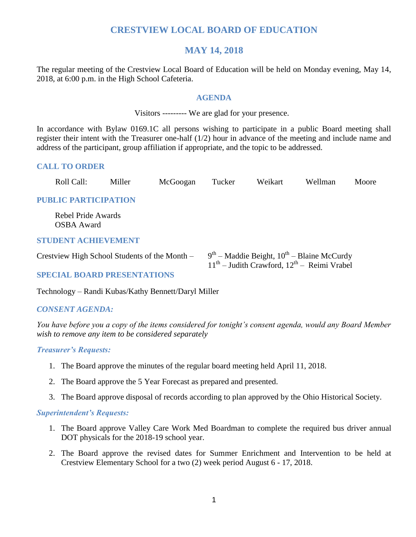# **CRESTVIEW LOCAL BOARD OF EDUCATION**

# **MAY 14, 2018**

The regular meeting of the Crestview Local Board of Education will be held on Monday evening, May 14, 2018, at 6:00 p.m. in the High School Cafeteria.

## **AGENDA**

Visitors --------- We are glad for your presence.

In accordance with Bylaw 0169.1C all persons wishing to participate in a public Board meeting shall register their intent with the Treasurer one-half (1/2) hour in advance of the meeting and include name and address of the participant, group affiliation if appropriate, and the topic to be addressed.

# **CALL TO ORDER**

| Roll Call:                                    | Miller | McGoogan | Tucker | Weikart | Wellman                                        | Moore |
|-----------------------------------------------|--------|----------|--------|---------|------------------------------------------------|-------|
| <b>PUBLIC PARTICIPATION</b>                   |        |          |        |         |                                                |       |
| Rebel Pride Awards<br><b>OSBA</b> Award       |        |          |        |         |                                                |       |
| <b>STUDENT ACHIEVEMENT</b>                    |        |          |        |         |                                                |       |
| Crestview High School Students of the Month – |        |          |        |         | $9th$ – Maddie Beight, $10th$ – Blaine McCurdy |       |

## **SPECIAL BOARD PRESENTATIONS**

Technology – Randi Kubas/Kathy Bennett/Daryl Miller

# *CONSENT AGENDA:*

*You have before you a copy of the items considered for tonight's consent agenda, would any Board Member wish to remove any item to be considered separately*

11<sup>th</sup> – Judith Crawford, 12<sup>th</sup> – Reimi Vrabel

#### *Treasurer's Requests:*

- 1. The Board approve the minutes of the regular board meeting held April 11, 2018.
- 2. The Board approve the 5 Year Forecast as prepared and presented.
- 3. The Board approve disposal of records according to plan approved by the Ohio Historical Society.

#### *Superintendent's Requests:*

- 1. The Board approve Valley Care Work Med Boardman to complete the required bus driver annual DOT physicals for the 2018-19 school year.
- 2. The Board approve the revised dates for Summer Enrichment and Intervention to be held at Crestview Elementary School for a two (2) week period August 6 - 17, 2018.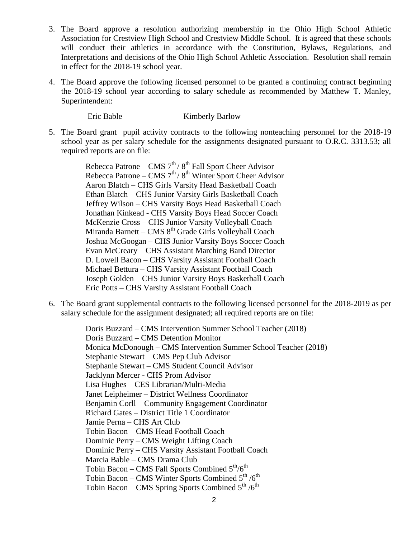- 3. The Board approve a resolution authorizing membership in the Ohio High School Athletic Association for Crestview High School and Crestview Middle School. It is agreed that these schools will conduct their athletics in accordance with the Constitution, Bylaws, Regulations, and Interpretations and decisions of the Ohio High School Athletic Association. Resolution shall remain in effect for the 2018-19 school year.
- 4. The Board approve the following licensed personnel to be granted a continuing contract beginning the 2018-19 school year according to salary schedule as recommended by Matthew T. Manley, Superintendent:

Eric Bable Kimberly Barlow

5. The Board grant pupil activity contracts to the following nonteaching personnel for the 2018-19 school year as per salary schedule for the assignments designated pursuant to O.R.C. 3313.53; all required reports are on file:

> Rebecca Patrone – CMS  $7<sup>th</sup> / 8<sup>th</sup>$  Fall Sport Cheer Advisor Rebecca Patrone – CMS  $7<sup>th</sup> / 8<sup>th</sup>$  Winter Sport Cheer Advisor Aaron Blatch – CHS Girls Varsity Head Basketball Coach Ethan Blatch – CHS Junior Varsity Girls Basketball Coach Jeffrey Wilson – CHS Varsity Boys Head Basketball Coach Jonathan Kinkead - CHS Varsity Boys Head Soccer Coach McKenzie Cross – CHS Junior Varsity Volleyball Coach Miranda Barnett – CMS  $8<sup>th</sup>$  Grade Girls Volleyball Coach Joshua McGoogan – CHS Junior Varsity Boys Soccer Coach Evan McCreary – CHS Assistant Marching Band Director D. Lowell Bacon – CHS Varsity Assistant Football Coach Michael Bettura – CHS Varsity Assistant Football Coach Joseph Golden – CHS Junior Varsity Boys Basketball Coach Eric Potts – CHS Varsity Assistant Football Coach

6. The Board grant supplemental contracts to the following licensed personnel for the 2018-2019 as per salary schedule for the assignment designated; all required reports are on file:

> Doris Buzzard – CMS Intervention Summer School Teacher (2018) Doris Buzzard – CMS Detention Monitor Monica McDonough – CMS Intervention Summer School Teacher (2018) Stephanie Stewart – CMS Pep Club Advisor Stephanie Stewart – CMS Student Council Advisor Jacklynn Mercer - CHS Prom Advisor Lisa Hughes – CES Librarian/Multi-Media Janet Leipheimer – District Wellness Coordinator Benjamin Corll – Community Engagement Coordinator Richard Gates – District Title 1 Coordinator Jamie Perna – CHS Art Club Tobin Bacon – CMS Head Football Coach Dominic Perry – CMS Weight Lifting Coach Dominic Perry – CHS Varsity Assistant Football Coach Marcia Bable – CMS Drama Club Tobin Bacon – CMS Fall Sports Combined  $5<sup>th</sup>/6<sup>th</sup>$ Tobin Bacon – CMS Winter Sports Combined  $5^{\text{th}}$  /6<sup>th</sup> Tobin Bacon – CMS Spring Sports Combined  $5<sup>th</sup>/6<sup>th</sup>$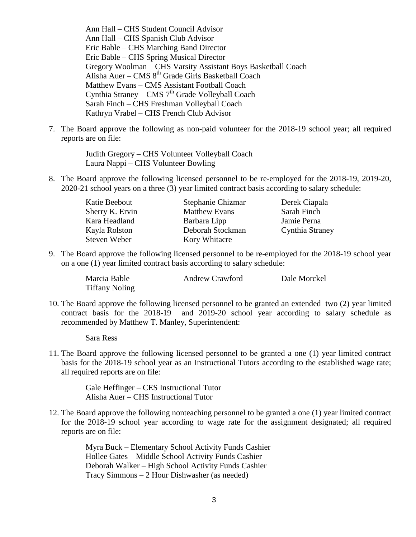Ann Hall – CHS Student Council Advisor Ann Hall – CHS Spanish Club Advisor Eric Bable – CHS Marching Band Director Eric Bable – CHS Spring Musical Director Gregory Woolman – CHS Varsity Assistant Boys Basketball Coach Alisha Auer – CMS  $8<sup>th</sup>$  Grade Girls Basketball Coach Matthew Evans – CMS Assistant Football Coach Cynthia Straney – CMS  $7<sup>th</sup>$  Grade Volleyball Coach Sarah Finch – CHS Freshman Volleyball Coach Kathryn Vrabel – CHS French Club Advisor

7. The Board approve the following as non-paid volunteer for the 2018-19 school year; all required reports are on file:

> Judith Gregory – CHS Volunteer Volleyball Coach Laura Nappi – CHS Volunteer Bowling

8. The Board approve the following licensed personnel to be re-employed for the 2018-19, 2019-20, 2020-21 school years on a three (3) year limited contract basis according to salary schedule:

| Katie Beebout   | Stephanie Chizmar    | Derek Ciapala   |
|-----------------|----------------------|-----------------|
| Sherry K. Ervin | <b>Matthew Evans</b> | Sarah Finch     |
| Kara Headland   | Barbara Lipp         | Jamie Perna     |
| Kayla Rolston   | Deborah Stockman     | Cynthia Straney |
| Steven Weber    | Kory Whitacre        |                 |

9. The Board approve the following licensed personnel to be re-employed for the 2018-19 school year on a one (1) year limited contract basis according to salary schedule:

| Marcia Bable          | <b>Andrew Crawford</b> | Dale Morckel |
|-----------------------|------------------------|--------------|
| <b>Tiffany Noling</b> |                        |              |

10. The Board approve the following licensed personnel to be granted an extended two (2) year limited contract basis for the 2018-19 and 2019-20 school year according to salary schedule as recommended by Matthew T. Manley, Superintendent:

Sara Ress

11. The Board approve the following licensed personnel to be granted a one (1) year limited contract basis for the 2018-19 school year as an Instructional Tutors according to the established wage rate; all required reports are on file:

> Gale Heffinger – CES Instructional Tutor Alisha Auer – CHS Instructional Tutor

12. The Board approve the following nonteaching personnel to be granted a one (1) year limited contract for the 2018-19 school year according to wage rate for the assignment designated; all required reports are on file:

> Myra Buck – Elementary School Activity Funds Cashier Hollee Gates – Middle School Activity Funds Cashier Deborah Walker – High School Activity Funds Cashier Tracy Simmons – 2 Hour Dishwasher (as needed)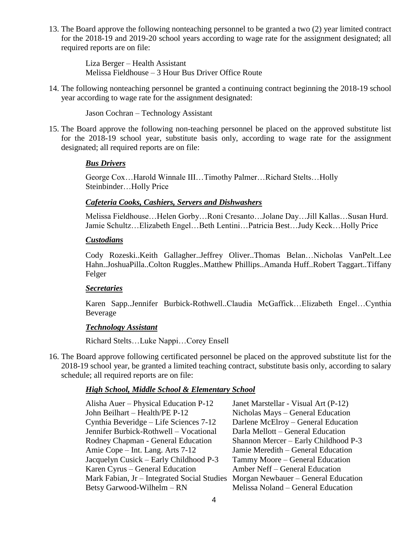13. The Board approve the following nonteaching personnel to be granted a two (2) year limited contract for the 2018-19 and 2019-20 school years according to wage rate for the assignment designated; all required reports are on file:

> Liza Berger – Health Assistant Melissa Fieldhouse – 3 Hour Bus Driver Office Route

14. The following nonteaching personnel be granted a continuing contract beginning the 2018-19 school year according to wage rate for the assignment designated:

Jason Cochran – Technology Assistant

15. The Board approve the following non-teaching personnel be placed on the approved substitute list for the 2018-19 school year, substitute basis only, according to wage rate for the assignment designated; all required reports are on file:

#### *Bus Drivers*

George Cox…Harold Winnale III…Timothy Palmer…Richard Stelts…Holly Steinbinder…Holly Price

#### *Cafeteria Cooks, Cashiers, Servers and Dishwashers*

Melissa Fieldhouse…Helen Gorby…Roni Cresanto…Jolane Day…Jill Kallas…Susan Hurd. Jamie Schultz…Elizabeth Engel…Beth Lentini…Patricia Best…Judy Keck…Holly Price

#### *Custodians*

Cody Rozeski..Keith Gallagher..Jeffrey Oliver..Thomas Belan…Nicholas VanPelt..Lee Hahn..JoshuaPilla..Colton Ruggles..Matthew Phillips..Amanda Huff..Robert Taggart..Tiffany Felger

#### *Secretaries*

Karen Sapp..Jennifer Burbick-Rothwell..Claudia McGaffick…Elizabeth Engel…Cynthia Beverage

# *Technology Assistant*

Richard Stelts…Luke Nappi…Corey Ensell

16. The Board approve following certificated personnel be placed on the approved substitute list for the 2018-19 school year, be granted a limited teaching contract, substitute basis only, according to salary schedule; all required reports are on file:

## *High School, Middle School & Elementary School*

Alisha Auer – Physical Education P-12 Janet Marstellar - Visual Art (P-12) John Beilhart – Health/PE P-12 Nicholas Mays – General Education Cynthia Beveridge – Life Sciences 7-12 Darlene McElroy – General Education Jennifer Burbick-Rothwell – Vocational Darla Mellott – General Education Rodney Chapman - General Education Shannon Mercer – Early Childhood P-3 Amie Cope – Int. Lang. Arts 7-12 Jamie Meredith – General Education Jacquelyn Cusick – Early Childhood P-3 Tammy Moore – General Education Karen Cyrus – General Education Amber Neff – General Education Mark Fabian, Jr – Integrated Social Studies Morgan Newbauer – General Education Betsy Garwood-Wilhelm – RN Melissa Noland – General Education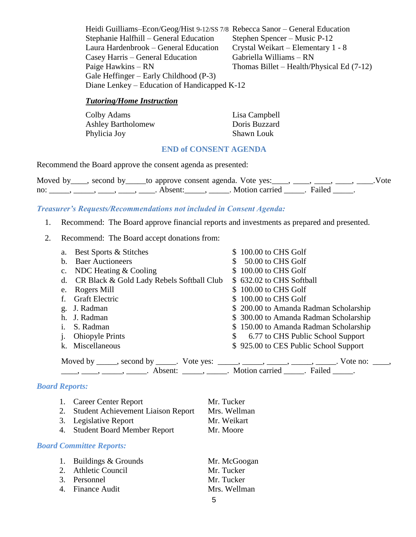Heidi Guilliams–Econ/Geog/Hist 9-12/SS 7/8 Rebecca Sanor – General Education Stephanie Halfhill – General Education Stephen Spencer – Music P-12 Laura Hardenbrook – General Education Crystal Weikart – Elementary 1 - 8 Casey Harris – General Education Gabriella Williams – RN Paige Hawkins – RN Thomas Billet – Health/Physical Ed (7-12) Gale Heffinger – Early Childhood (P-3) Diane Lenkey – Education of Handicapped K-12

## *Tutoring/Home Instruction*

| Colby Adams               | Lisa Campbell     |
|---------------------------|-------------------|
| <b>Ashley Bartholomew</b> | Doris Buzzard     |
| Phylicia Joy              | <b>Shawn Louk</b> |

### **END of CONSENT AGENDA**

Recommend the Board approve the consent agenda as presented:

|     | Moved by ____, second by _____ to approve consent agenda. Vote yes: ____, ____, ____, ____, _ |         |  |                       | Vote |
|-----|-----------------------------------------------------------------------------------------------|---------|--|-----------------------|------|
| no: |                                                                                               | Absent: |  | Motion carried Failed |      |

### *Treasurer's Requests/Recommendations not included in Consent Agenda:*

- 1. Recommend: The Board approve financial reports and investments as prepared and presented.
- 2. Recommend: The Board accept donations from:

| Best Sports & Stitches<br>a.                                                                                                                                                                                                                                                                                                                                                                                                                                                                                                | \$100.00 to CHS Golf                  |
|-----------------------------------------------------------------------------------------------------------------------------------------------------------------------------------------------------------------------------------------------------------------------------------------------------------------------------------------------------------------------------------------------------------------------------------------------------------------------------------------------------------------------------|---------------------------------------|
| <b>Baer Auctioneers</b><br>b.                                                                                                                                                                                                                                                                                                                                                                                                                                                                                               | 50.00 to CHS Golf                     |
| NDC Heating $&$ Cooling<br>$c_{\cdot}$                                                                                                                                                                                                                                                                                                                                                                                                                                                                                      | \$100.00 to CHS Golf                  |
| CR Black & Gold Lady Rebels Softball Club<br>d.                                                                                                                                                                                                                                                                                                                                                                                                                                                                             | \$632.02 to CHS Softball              |
| Rogers Mill<br>e.                                                                                                                                                                                                                                                                                                                                                                                                                                                                                                           | \$100.00 to CHS Golf                  |
| <b>Graft Electric</b>                                                                                                                                                                                                                                                                                                                                                                                                                                                                                                       | \$100.00 to CHS Golf                  |
| g. J. Radman                                                                                                                                                                                                                                                                                                                                                                                                                                                                                                                | \$200.00 to Amanda Radman Scholarship |
| J. Radman<br>h.                                                                                                                                                                                                                                                                                                                                                                                                                                                                                                             | \$300.00 to Amanda Radman Scholarship |
| S. Radman                                                                                                                                                                                                                                                                                                                                                                                                                                                                                                                   | \$150.00 to Amanda Radman Scholarship |
| <b>Ohiopyle Prints</b>                                                                                                                                                                                                                                                                                                                                                                                                                                                                                                      | \$ 6.77 to CHS Public School Support  |
| k. Miscellaneous                                                                                                                                                                                                                                                                                                                                                                                                                                                                                                            | \$925.00 to CES Public School Support |
| Moved by _____, second by _____. Vote yes: _____, _____, _____, _____, _____. Vote no: ____,<br>$\frac{1}{1}, \frac{1}{1}, \frac{1}{1}, \frac{1}{1}, \frac{1}{1}, \frac{1}{1}, \frac{1}{1}, \frac{1}{1}, \frac{1}{1}, \frac{1}{1}, \frac{1}{1}, \frac{1}{1}, \frac{1}{1}, \frac{1}{1}, \frac{1}{1}, \frac{1}{1}, \frac{1}{1}, \frac{1}{1}, \frac{1}{1}, \frac{1}{1}, \frac{1}{1}, \frac{1}{1}, \frac{1}{1}, \frac{1}{1}, \frac{1}{1}, \frac{1}{1}, \frac{1}{1}, \frac{1}{1}, \frac{1}{1}, \frac{1}{1}, \frac{1}{1}, \frac{$ |                                       |

### *Board Reports:*

| 1. Career Center Report               | Mr. Tucker   |
|---------------------------------------|--------------|
| 2. Student Achievement Liaison Report | Mrs. Wellman |
| 3. Legislative Report                 | Mr. Weikart  |
| 4. Student Board Member Report        | Mr. Moore    |

#### *Board Committee Reports:*

| 1. Buildings & Grounds | Mr. McGoogan |
|------------------------|--------------|
| 2. Athletic Council    | Mr. Tucker   |
| 3. Personnel           | Mr. Tucker   |
| 4. Finance Audit       | Mrs. Wellman |
|                        |              |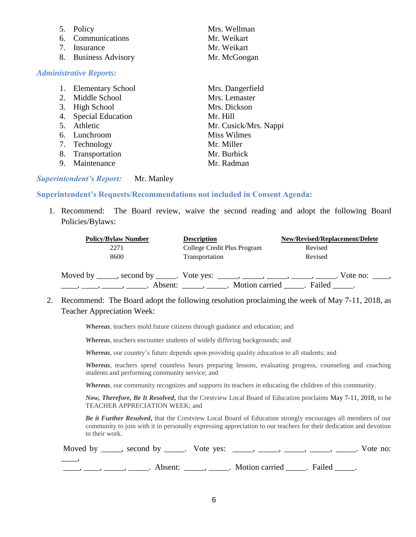| 5. Policy            | Mrs. Wellman |
|----------------------|--------------|
| 6. Communications    | Mr. Weikart  |
| 7. Insurance         | Mr. Weikart  |
| 8. Business Advisory | Mr. McGoogan |
|                      |              |

|    | 1. Elementary School | Mrs. Dangerfield      |
|----|----------------------|-----------------------|
|    | 2. Middle School     | Mrs. Lemaster         |
|    | 3. High School       | Mrs. Dickson          |
|    | 4. Special Education | Mr. Hill              |
|    | 5. Athletic          | Mr. Cusick/Mrs. Nappi |
|    | 6. Lunchroom         | <b>Miss Wilmes</b>    |
|    | 7. Technology        | Mr. Miller            |
|    | 8. Transportation    | Mr. Burbick           |
| 9. | Maintenance          | Mr. Radman            |
|    |                      |                       |

### *Superintendent's Report:* Mr. Manley

*Administrative Reports:*

#### **Superintendent's Requests/Recommendations not included in Consent Agenda:**

1. Recommend: The Board review, waive the second reading and adopt the following Board Policies/Bylaws:

| <b>Policy/Bylaw Number</b>                                                  | <b>Description</b>                                                 | <b>New/Revised/Replacement/Delete</b> |
|-----------------------------------------------------------------------------|--------------------------------------------------------------------|---------------------------------------|
| 2271                                                                        | College Credit Plus Program                                        | Revised                               |
| 8600                                                                        | Transportation                                                     | Revised                               |
| Moved by _____, second by _____. Vote yes: _____, _____, _____, _____, ____ | Motion carried<br>Absent: $\_\_\_\_\_\_\_\_\_\_\_\_\_\_\_\_\_\_\_$ | Vote no: $\qquad \qquad$<br>Failed    |

2. Recommend: The Board adopt the following resolution proclaiming the week of May 7-11, 2018, as Teacher Appreciation Week:

*Whereas*, teachers mold future citizens through guidance and education; and

*Whereas*, teachers encounter students of widely differing backgrounds; and

*Whereas,* our country's future depends upon providing quality education to all students; and

*Whereas,* teachers spend countless hours preparing lessons, evaluating progress, counseling and coaching students and performing community service; and

*Whereas*, our community recognizes and supports its teachers in educating the children of this community.

*Now, Therefore, Be It Resolved***,** that the Crestview Local Board of Education proclaims May 7-11, 2018, to be TEACHER APPRECIATION WEEK; and

*Be it Further Resolved***,** that the Crestview Local Board of Education strongly encourages all members of our community to join with it in personally expressing appreciation to our teachers for their dedication and devotion to their work.

|  | Moved by _____, second by _____. Vote yes: _____, _____, _____, _____, _____. V | . Vote no: |
|--|---------------------------------------------------------------------------------|------------|

., \_\_\_\_\_, \_\_\_\_\_. Absent: \_\_\_\_\_, \_\_\_\_\_. Motion carried \_\_\_\_\_. Failed \_\_\_\_\_.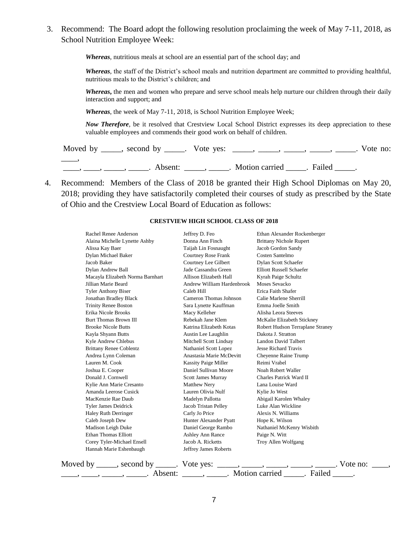3. Recommend: The Board adopt the following resolution proclaiming the week of May 7-11, 2018, as School Nutrition Employee Week:

*Whereas*, nutritious meals at school are an essential part of the school day; and

*Whereas,* the staff of the District's school meals and nutrition department are committed to providing healthful, nutritious meals to the District's children; and

*Whereas***,** the men and women who prepare and serve school meals help nurture our children through their daily interaction and support; and

*Whereas*, the week of May 7-11, 2018, is School Nutrition Employee Week;

*Now Therefore,* be it resolved that Crestview Local School District expresses its deep appreciation to these valuable employees and commends their good work on behalf of children.

Moved by \_\_\_\_\_, second by \_\_\_\_\_. Vote yes: \_\_\_\_\_, \_\_\_\_\_, \_\_\_\_\_, \_\_\_\_\_, \_\_\_\_\_. Vote no:  $\overline{\phantom{a}}$ ——, ——, ——, Absent: \_\_\_\_, \_\_\_\_. Motion carried \_\_\_\_. Failed \_\_\_\_.

4. Recommend: Members of the Class of 2018 be granted their High School Diplomas on May 20, 2018; providing they have satisfactorily completed their courses of study as prescribed by the State of Ohio and the Crestview Local Board of Education as follows:

#### **CRESTVIEW HIGH SCHOOL CLASS OF 2018**

| Rachel Renee Anderson                                                                                                                                                                                                                                                                                                                                                                                                                         | Jeffrey D. Feo              | Ethan Alexander Rockenberger                                                               |
|-----------------------------------------------------------------------------------------------------------------------------------------------------------------------------------------------------------------------------------------------------------------------------------------------------------------------------------------------------------------------------------------------------------------------------------------------|-----------------------------|--------------------------------------------------------------------------------------------|
| Alaina Michelle Lynette Ashby                                                                                                                                                                                                                                                                                                                                                                                                                 | Donna Ann Finch             | <b>Brittany Nichole Rupert</b>                                                             |
| Alissa Kay Baer                                                                                                                                                                                                                                                                                                                                                                                                                               | Taijah Lin Fosnaught        | Jacob Gordon Sandy                                                                         |
| Dylan Michael Baker                                                                                                                                                                                                                                                                                                                                                                                                                           | <b>Courtney Rose Frank</b>  | Costen Santelmo                                                                            |
| Jacob Baker                                                                                                                                                                                                                                                                                                                                                                                                                                   | Courtney Lee Gilbert        | Dylan Scott Schaefer                                                                       |
| Dylan Andrew Ball                                                                                                                                                                                                                                                                                                                                                                                                                             | Jade Cassandra Green        | <b>Elliott Russell Schaefer</b>                                                            |
| Macayla Elizabeth Norma Barnhart                                                                                                                                                                                                                                                                                                                                                                                                              | Allison Elizabeth Hall      | Kyrah Paige Schultz                                                                        |
| Jillian Marie Beard                                                                                                                                                                                                                                                                                                                                                                                                                           | Andrew William Hardenbrook  | Moses Sevacko                                                                              |
| <b>Tyler Anthony Biser</b>                                                                                                                                                                                                                                                                                                                                                                                                                    | Caleb Hill                  | Erica Faith Shafer                                                                         |
| Jonathan Bradley Black                                                                                                                                                                                                                                                                                                                                                                                                                        | Cameron Thomas Johnson      | Calie Marlene Sherrill                                                                     |
| <b>Trinity Renee Boston</b>                                                                                                                                                                                                                                                                                                                                                                                                                   | Sara Lynette Kauffman       | Emma Joelle Smith                                                                          |
| Erika Nicole Brooks                                                                                                                                                                                                                                                                                                                                                                                                                           | Macy Kelleher               | Alisha Leora Steeves                                                                       |
| Burt Thomas Brown III                                                                                                                                                                                                                                                                                                                                                                                                                         | Rebekah Jane Klem           | McKalie Elizabeth Stickney                                                                 |
| <b>Brooke Nicole Butts</b>                                                                                                                                                                                                                                                                                                                                                                                                                    | Katrina Elizabeth Kotas     | Robert Hudson Terraplane Straney                                                           |
| Kayla Shyann Butts                                                                                                                                                                                                                                                                                                                                                                                                                            | Austin Lee Laughlin         | Dakota J. Stratton                                                                         |
| Kyle Andrew Chlebus                                                                                                                                                                                                                                                                                                                                                                                                                           | Mitchell Scott Lindsay      | Landon David Talbert                                                                       |
| <b>Brittany Renee Coblentz</b>                                                                                                                                                                                                                                                                                                                                                                                                                | Nathaniel Scott Lopez       | <b>Jesse Richard Travis</b>                                                                |
| Andrea Lynn Coleman                                                                                                                                                                                                                                                                                                                                                                                                                           | Anastasia Marie McDevitt    | Cheyenne Raine Trump                                                                       |
| Lauren M. Cook                                                                                                                                                                                                                                                                                                                                                                                                                                | <b>Kassity Paige Miller</b> | Reimi Vrabel                                                                               |
| Joshua E. Cooper                                                                                                                                                                                                                                                                                                                                                                                                                              | Daniel Sullivan Moore       | Noah Robert Waller                                                                         |
| Donald J. Cornwell                                                                                                                                                                                                                                                                                                                                                                                                                            | <b>Scott James Murray</b>   | Charles Patrick Ward II                                                                    |
| Kylie Ann Marie Cresanto                                                                                                                                                                                                                                                                                                                                                                                                                      | Matthew Nery                | Lana Louise Ward                                                                           |
| Amanda Leerose Cusick                                                                                                                                                                                                                                                                                                                                                                                                                         | Lauren Olivia Nulf          | Kylie Jo West                                                                              |
| MacKenzie Rae Daub                                                                                                                                                                                                                                                                                                                                                                                                                            | Madelyn Pallotta            | Abigail Karolen Whaley                                                                     |
| Tyler James Deidrick                                                                                                                                                                                                                                                                                                                                                                                                                          | Jacob Tristan Pelley        | Luke Alan Wickline                                                                         |
| Haley Ruth Derringer                                                                                                                                                                                                                                                                                                                                                                                                                          | Carly Jo Price              | Alexis N. Williams                                                                         |
| Caleb Joseph Dew                                                                                                                                                                                                                                                                                                                                                                                                                              | Hunter Alexander Pyatt      | Hope K. Wilson                                                                             |
| Madison Leigh Duke                                                                                                                                                                                                                                                                                                                                                                                                                            | Daniel George Rambo         | Nathaniel McKenry Wisbith                                                                  |
| Ethan Thomas Elliott                                                                                                                                                                                                                                                                                                                                                                                                                          | Ashley Ann Rance            | Paige N. Witt                                                                              |
| Corey Tyler-Michael Ensell                                                                                                                                                                                                                                                                                                                                                                                                                    | Jacob A. Ricketts           | Troy Allen Wolfgang                                                                        |
| Hannah Marie Eshenbaugh                                                                                                                                                                                                                                                                                                                                                                                                                       | Jeffrey James Roberts       |                                                                                            |
|                                                                                                                                                                                                                                                                                                                                                                                                                                               |                             |                                                                                            |
|                                                                                                                                                                                                                                                                                                                                                                                                                                               |                             | Moved by _____, second by _____. Vote yes: _____, _____, _____, _____, _____. Vote no: ___ |
| $\overline{\phantom{a}}$ , $\overline{\phantom{a}}$ , $\overline{\phantom{a}}$ , $\overline{\phantom{a}}$ , $\overline{\phantom{a}}$ , $\overline{\phantom{a}}$ , $\overline{\phantom{a}}$ , $\overline{\phantom{a}}$ , $\overline{\phantom{a}}$ , $\overline{\phantom{a}}$ , $\overline{\phantom{a}}$ , $\overline{\phantom{a}}$ , $\overline{\phantom{a}}$ , $\overline{\phantom{a}}$ , $\overline{\phantom{a}}$ , $\overline{\phantom{a}}$ | Absent: _______, ________.  | Motion carried ______. Failed                                                              |
|                                                                                                                                                                                                                                                                                                                                                                                                                                               |                             |                                                                                            |